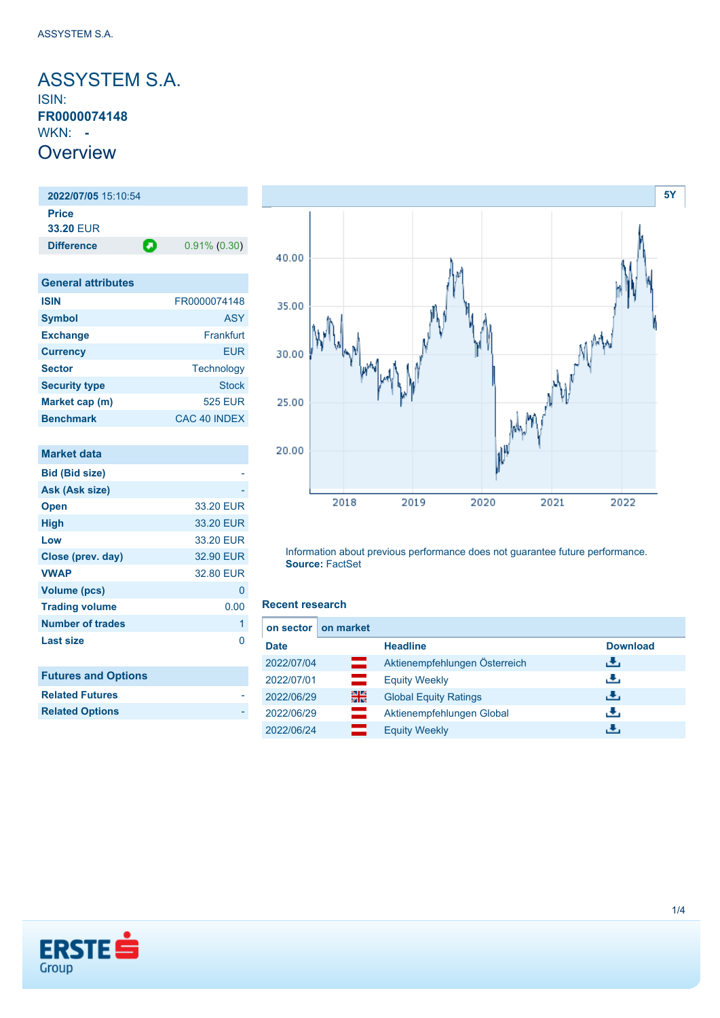<span id="page-0-0"></span>ASSYSTEM S.A. ISIN: **FR0000074148** WKN: **- Overview** 

**2022/07/05** 15:10:54 **Price 33.20** EUR **Difference 0.91% (0.30)** 

| <b>General attributes</b> |                     |
|---------------------------|---------------------|
| <b>ISIN</b>               | FR0000074148        |
| <b>Symbol</b>             | <b>ASY</b>          |
| <b>Exchange</b>           | Frankfurt           |
| <b>Currency</b>           | EUR                 |
| <b>Sector</b>             | Technology          |
| <b>Security type</b>      | <b>Stock</b>        |
| Market cap (m)            | <b>525 EUR</b>      |
| <b>Benchmark</b>          | <b>CAC 40 INDEX</b> |

| <b>Market data</b>         |           |
|----------------------------|-----------|
| <b>Bid (Bid size)</b>      |           |
| Ask (Ask size)             |           |
| <b>Open</b>                | 33.20 EUR |
| High                       | 33.20 EUR |
| Low                        | 33.20 EUR |
| Close (prev. day)          | 32.90 EUR |
| <b>VWAP</b>                | 32.80 EUR |
| <b>Volume (pcs)</b>        | 0         |
| <b>Trading volume</b>      | 0.00      |
| <b>Number of trades</b>    | 1         |
| <b>Last size</b>           | O         |
|                            |           |
| <b>Futures and Options</b> |           |
| <b>Related Futures</b>     |           |



Information about previous performance does not guarantee future performance. **Source:** FactSet

#### **Recent research**

| on sector   | on market   |                               |                 |
|-------------|-------------|-------------------------------|-----------------|
| <b>Date</b> |             | <b>Headline</b>               | <b>Download</b> |
| 2022/07/04  | œ           | Aktienempfehlungen Österreich | ريان            |
| 2022/07/01  | $\equiv$    | <b>Equity Weekly</b>          | J.              |
| 2022/06/29  | 꾊           | <b>Global Equity Ratings</b>  | æ,              |
| 2022/06/29  | an<br>Maria | Aktienempfehlungen Global     | J.              |
| 2022/06/24  |             | <b>Equity Weekly</b>          | راق             |



**Related Options**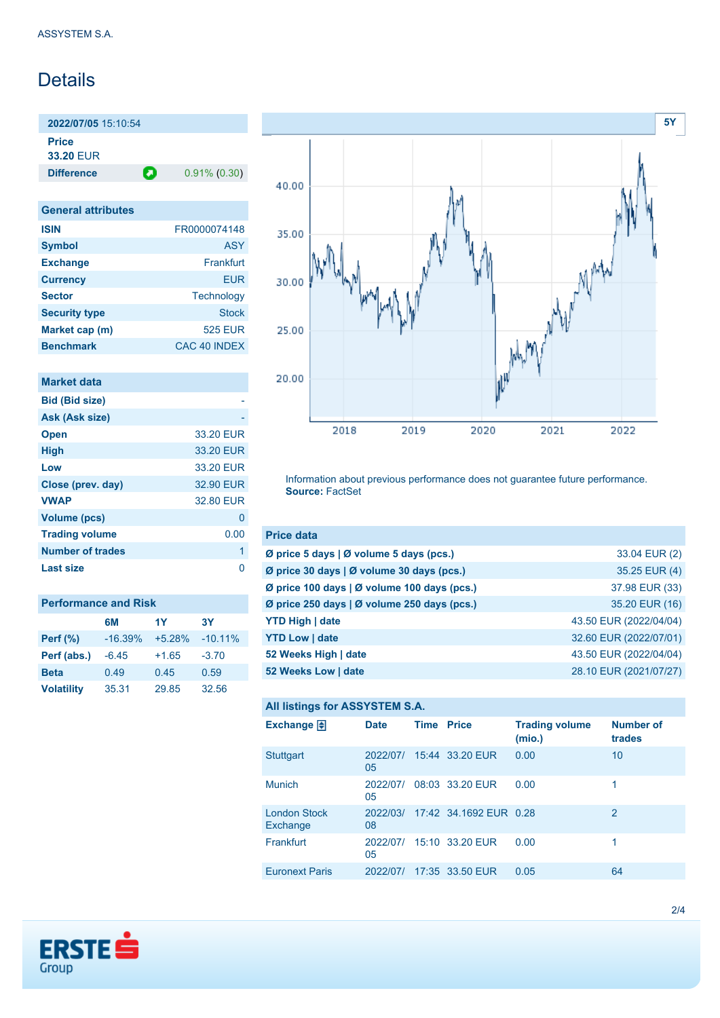## Details

**2022/07/05** 15:10:54 **Price**

**33.20** EUR

**Difference 0.91% (0.30)** 

| <b>General attributes</b> |                |
|---------------------------|----------------|
| <b>ISIN</b>               | FR0000074148   |
| <b>Symbol</b>             | <b>ASY</b>     |
| <b>Exchange</b>           | Frankfurt      |
| <b>Currency</b>           | EUR            |
| <b>Sector</b>             | Technology     |
| <b>Security type</b>      | <b>Stock</b>   |
| Market cap (m)            | <b>525 EUR</b> |
| <b>Benchmark</b>          | CAC 40 INDEX   |

| <b>Market data</b>      |           |
|-------------------------|-----------|
| <b>Bid (Bid size)</b>   |           |
| Ask (Ask size)          |           |
| <b>Open</b>             | 33.20 EUR |
| <b>High</b>             | 33.20 EUR |
| Low                     | 33.20 EUR |
| Close (prev. day)       | 32.90 EUR |
| <b>VWAP</b>             | 32.80 EUR |
| Volume (pcs)            | 0         |
| <b>Trading volume</b>   | 0.00      |
| <b>Number of trades</b> | 1         |
| Last size               |           |

| <b>Performance and Risk</b> |           |          |            |  |  |  |
|-----------------------------|-----------|----------|------------|--|--|--|
|                             | 6M        | 1Y       | <b>3Y</b>  |  |  |  |
| <b>Perf</b> (%)             | $-16.39%$ | $+5.28%$ | $-10.11\%$ |  |  |  |
| Perf (abs.)                 | $-6.45$   | $+1.65$  | $-3.70$    |  |  |  |
| <b>Beta</b>                 | 0.49      | 0.45     | 0.59       |  |  |  |
| <b>Volatility</b>           | 35.31     | 29.85    | 32.56      |  |  |  |



Information about previous performance does not guarantee future performance. **Source:** FactSet

| <b>Price data</b>                           |                        |
|---------------------------------------------|------------------------|
| Ø price 5 days   Ø volume 5 days (pcs.)     | 33.04 EUR (2)          |
| Ø price 30 days   Ø volume 30 days (pcs.)   | 35.25 EUR (4)          |
| Ø price 100 days   Ø volume 100 days (pcs.) | 37.98 EUR (33)         |
| Ø price 250 days   Ø volume 250 days (pcs.) | 35.20 EUR (16)         |
| <b>YTD High   date</b>                      | 43.50 EUR (2022/04/04) |
| <b>YTD Low   date</b>                       | 32.60 EUR (2022/07/01) |
| 52 Weeks High   date                        | 43.50 EUR (2022/04/04) |
| 52 Weeks Low   date                         | 28.10 EUR (2021/07/27) |

#### **All listings for ASSYSTEM S.A.**

| Exchange $\Box$                 | <b>Date</b>    | <b>Time Price</b> |                        | <b>Trading volume</b><br>(mio.) | <b>Number of</b><br>trades |
|---------------------------------|----------------|-------------------|------------------------|---------------------------------|----------------------------|
| <b>Stuttgart</b>                | 2022/07/<br>05 |                   | 15:44 33.20 EUR        | 0.00                            | 10                         |
| <b>Munich</b>                   | 2022/07/<br>05 |                   | 08:03 33.20 EUR        | 0.00                            |                            |
| <b>London Stock</b><br>Exchange | 2022/03/<br>08 |                   | 17:42 34.1692 EUR 0.28 |                                 | 2                          |
| Frankfurt                       | 2022/07/<br>05 |                   | 15:10 33.20 EUR        | 0.00                            |                            |
| <b>Euronext Paris</b>           | 2022/07/       |                   | 17:35 33.50 EUR        | 0.05                            | 64                         |

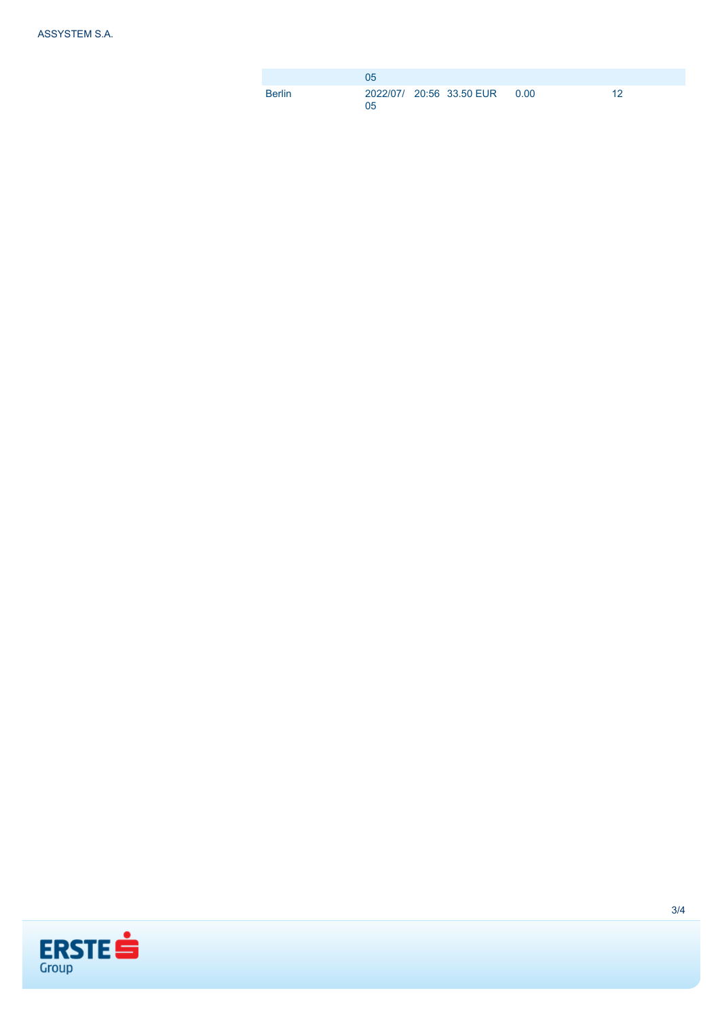|        | 0 <sub>5</sub> |                                |    |
|--------|----------------|--------------------------------|----|
| Berlin | 05             | 2022/07/ 20:56 33.50 EUR  0.00 | 19 |